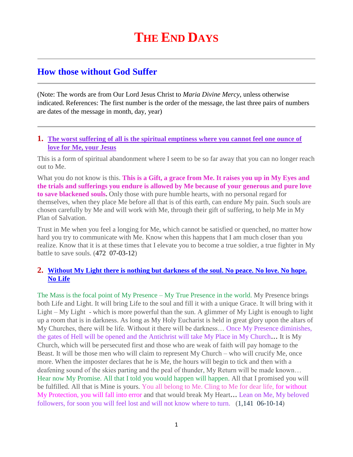# **How those without God Suffer**

(Note: The words are from Our Lord Jesus Christ to *Maria Divine Mercy*, unless otherwise indicated. References: The first number is the order of the message, the last three pairs of numbers are dates of the message in month, day, year)

#### **1. [The worst suffering of all is the spiritual emptiness where you cannot feel one ounce of](http://www.thewarningsecondcoming.com/the-worst-suffering-of-all-is-the-spiritual-emptiness-where-you-cannot-feel-one-ounce-of-love-for-me-your-jesus/)  [love for Me, your Jesus](http://www.thewarningsecondcoming.com/the-worst-suffering-of-all-is-the-spiritual-emptiness-where-you-cannot-feel-one-ounce-of-love-for-me-your-jesus/)**

This is a form of spiritual abandonment where I seem to be so far away that you can no longer reach out to Me.

What you do not know is this. **This is a Gift, a grace from Me. It raises you up in My Eyes and the trials and sufferings you endure is allowed by Me because of your generous and pure love to save blackened souls.** Only those with pure humble hearts, with no personal regard for themselves, when they place Me before all that is of this earth, can endure My pain. Such souls are chosen carefully by Me and will work with Me, through their gift of suffering, to help Me in My Plan of Salvation.

Trust in Me when you feel a longing for Me, which cannot be satisfied or quenched, no matter how hard you try to communicate with Me. Know when this happens that I am much closer than you realize. Know that it is at these times that I elevate you to become a true soldier, a true fighter in My battle to save souls. (472 07-03-12)

# **2. [Without My Light there is nothing but darkness of the soul. No peace. No love. No hope.](http://www.thewarningsecondcoming.com/without-my-light-there-is-nothing-but-darkness-of-the-soul-no-peace-no-love-no-hope-no-life/)  [No Life](http://www.thewarningsecondcoming.com/without-my-light-there-is-nothing-but-darkness-of-the-soul-no-peace-no-love-no-hope-no-life/)**

The Mass is the focal point of My Presence – My True Presence in the world. My Presence brings both Life and Light. It will bring Life to the soul and fill it with a unique Grace. It will bring with it Light – My Light - which is more powerful than the sun. A glimmer of My Light is enough to light up a room that is in darkness. As long as My Holy Eucharist is held in great glory upon the altars of My Churches, there will be life. Without it there will be darkness… Once My Presence diminishes, the gates of Hell will be opened and the Antichrist will take My Place in My Church**…** It is My Church, which will be persecuted first and those who are weak of faith will pay homage to the Beast. It will be those men who will claim to represent My Church – who will crucify Me, once more. When the imposter declares that he is Me, the hours will begin to tick and then with a deafening sound of the skies parting and the peal of thunder, My Return will be made known… Hear now My Promise. All that I told you would happen will happen. All that I promised you will be fulfilled. All that is Mine is yours. You all belong to Me. Cling to Me for dear life, for without My Protection, you will fall into error and that would break My Heart**…** Lean on Me, My beloved followers, for soon you will feel lost and will not know where to turn. (1,141 06-10-14)